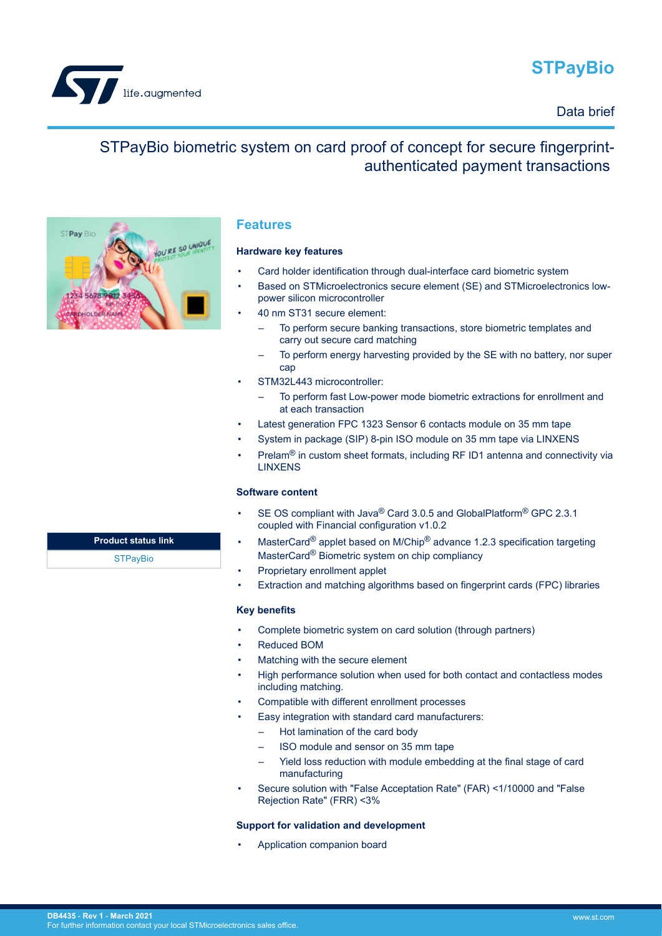# **STPayBio**







life.augmented

## **Features**

#### **Hardware key features**

- Card holder identification through dual-interface card biometric system
- Based on STMicroelectronics secure element (SE) and STMicroelectronics lowpower silicon microcontroller
- 40 nm ST31 secure element:
	- To perform secure banking transactions, store biometric templates and carry out secure card matching
	- To perform energy harvesting provided by the SE with no battery, nor super cap
- STM32L443 microcontroller:
	- To perform fast Low-power mode biometric extractions for enrollment and at each transaction
- Latest generation FPC 1323 Sensor 6 contacts module on 35 mm tape
- System in package (SIP) 8-pin ISO module on 35 mm tape via LINXENS
- Prelam<sup>®</sup> in custom sheet formats, including RF ID1 antenna and connectivity via **LINXENS**

#### **Software content**

- SE OS compliant with Java® Card 3.0.5 and GlobalPlatform® GPC 2.3.1 coupled with Financial configuration v1.0.2
- MasterCard<sup>®</sup> applet based on M/Chip<sup>®</sup> advance 1.2.3 specification targeting MasterCard® Biometric system on chip compliancy
- Proprietary enrollment applet
- Extraction and matching algorithms based on fingerprint cards (FPC) libraries

#### **Key benefits**

- Complete biometric system on card solution (through partners)
- Reduced BOM
- Matching with the secure element
- High performance solution when used for both contact and contactless modes including matching.
- Compatible with different enrollment processes
- Easy integration with standard card manufacturers:
	- Hot lamination of the card body
	- ISO module and sensor on 35 mm tape
	- Yield loss reduction with module embedding at the final stage of card manufacturing
- Secure solution with "False Acceptation Rate" (FAR) <1/10000 and "False Rejection Rate" (FRR) <3%

#### **Support for validation and development**

• Application companion board

**Product status link STPavBio**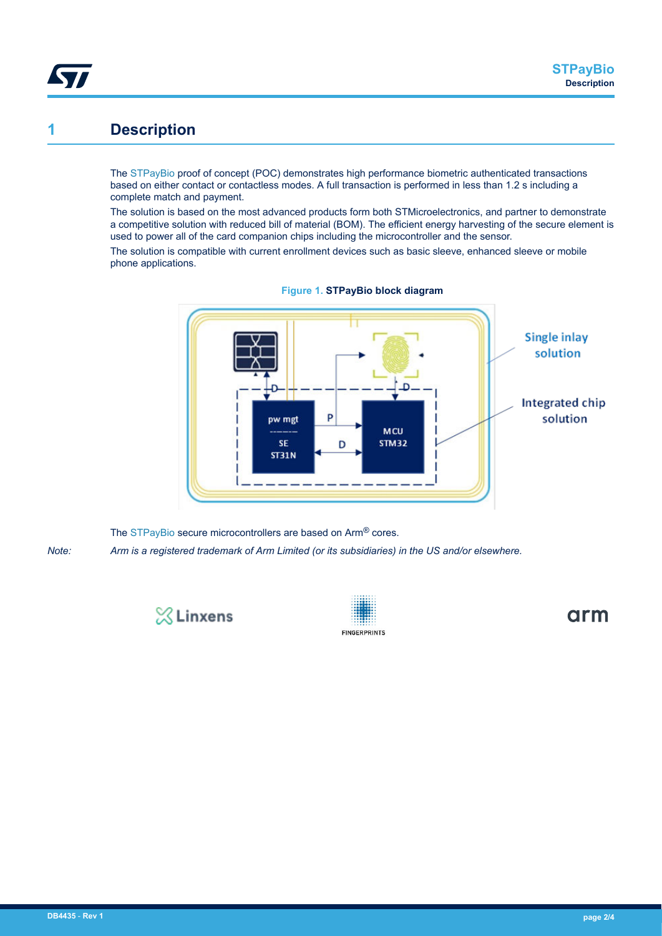

The [STPayBio](https://www.st.com/en/product/STPayBio?ecmp=tt9470_gl_link_feb2019&rt=db&id=DB4435) proof of concept (POC) demonstrates high performance biometric authenticated transactions based on either contact or contactless modes. A full transaction is performed in less than 1.2 s including a complete match and payment.

The solution is based on the most advanced products form both STMicroelectronics, and partner to demonstrate a competitive solution with reduced bill of material (BOM). The efficient energy harvesting of the secure element is used to power all of the card companion chips including the microcontroller and the sensor.

The solution is compatible with current enrollment devices such as basic sleeve, enhanced sleeve or mobile phone applications.



**Figure 1. STPayBio block diagram**

The [STPayBio](https://www.st.com/en/product/STPayBio?ecmp=tt9470_gl_link_feb2019&rt=db&id=DB4435) secure microcontrollers are based on Arm<sup>®</sup> cores. *Note: Arm is a registered trademark of Arm Limited (or its subsidiaries) in the US and/or elsewhere.*



**1 Description**

S77

**FINGERPRINTS** 

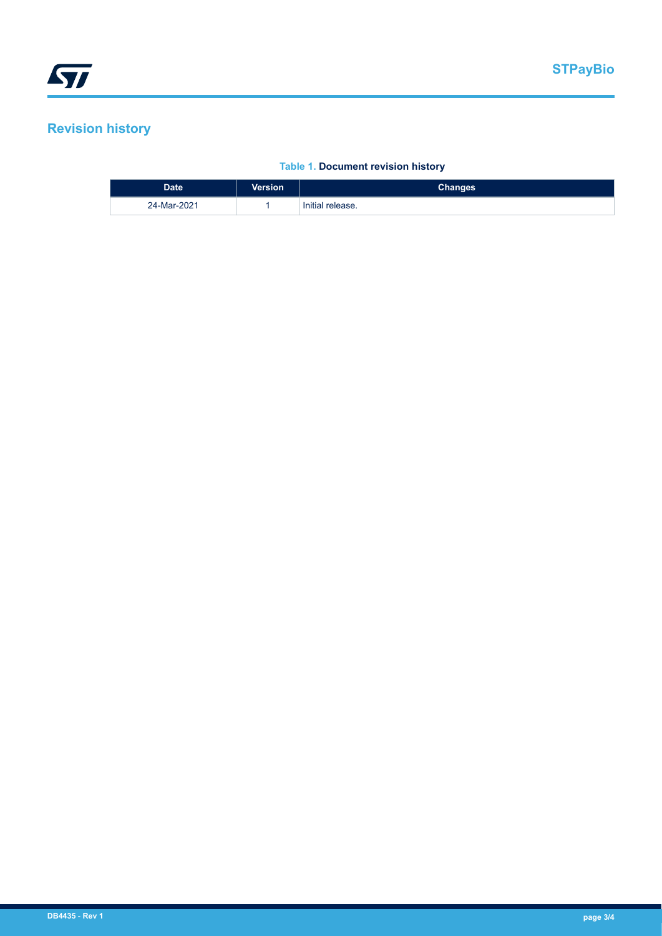## **Revision history**

## **Table 1. Document revision history**

| <b>Date</b> | <b>Version</b> | <b>Changes</b>   |
|-------------|----------------|------------------|
| 24-Mar-2021 |                | Initial release. |